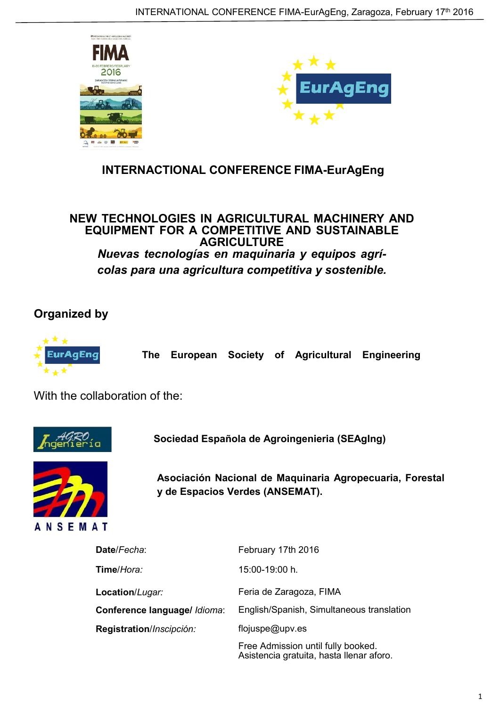



## **INTERNACTIONAL CONFERENCE FIMA-EurAgEng**

**NEW TECHNOLOGIES IN AGRICULTURAL MACHINERY AND EQUIPMENT FOR A COMPETITIVE AND SUSTAINABLE AGRICULTURE** *Nuevas tecnologías en maquinaria y equipos agrícolas para una agricultura competitiva y sostenible.*

**Organized by**



**The European Society of Agricultural Engineering**

With the collaboration of the:



**Sociedad Española de Agroingenieria (SEAgIng)**



**Asociación Nacional de Maquinaria Agropecuaria, Forestal y de Espacios Verdes (ANSEMAT).**

| Date/Fecha:                  | February 17th 2016                                                             |
|------------------------------|--------------------------------------------------------------------------------|
| Time/Hora:                   | 15:00-19:00 h.                                                                 |
| Location/Lugar:              | Feria de Zaragoza, FIMA                                                        |
| Conference language/ /dioma: | English/Spanish, Simultaneous translation                                      |
| Registration/Inscipción:     | flojuspe@upv.es                                                                |
|                              | Free Admission until fully booked.<br>Asistencia gratuita, hasta llenar aforo. |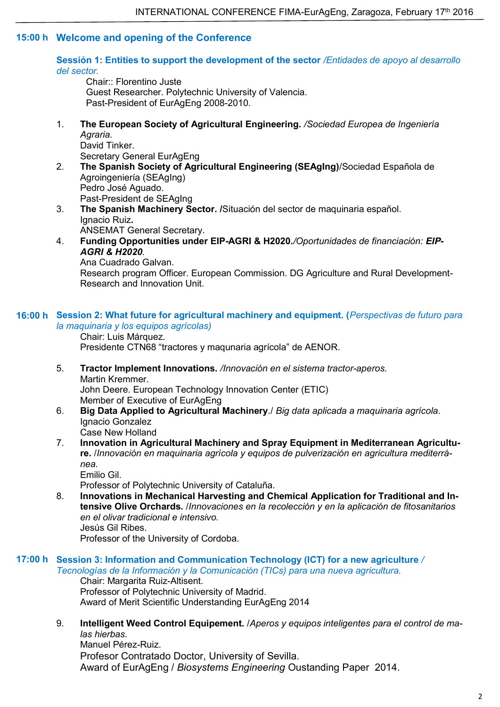## **Welcome and opening of the Conference 15:00 h**

**Sessión 1: Entities to support the development of the sector** */Entidades de apoyo al desarrollo del sector.*

Chair:: Florentino Juste Guest Researcher. Polytechnic University of Valencia. Past-President of EurAgEng 2008-2010.

1. **The European Society of Agricultural Engineering.** */Sociedad Europea de Ingeniería Agraria.* David Tinker.

Secretary General EurAgEng

- 2. **The Spanish Society of Agricultural Engineering (SEAgIng)**/Sociedad Española de Agroingeniería (SEAgIng) Pedro José Aguado. Past-President de SEAgIng
- 3. **The Spanish Machinery Sector. /**Situación del sector de maquinaria español. Ignacio Ruiz**.** ANSEMAT General Secretary.
- 4. **Funding Opportunities under EIP-AGRI & H2020***./Oportunidades de financiación: EIP-AGRI & H2020.*

Ana Cuadrado Galvan.

Research program Officer. European Commission. DG Agriculture and Rural Development-Research and Innovation Unit.

## **Session 2: What future for agricultural machinery and equipment. (***Perspectivas de futuro para* **16:00 h** *la maquinaria y los equipos agrícolas)*

Chair: Luis Márquez. Presidente CTN68 "tractores y maqunaria agrícola" de AENOR.

- 5. **Tractor Implement Innovations.** */Innovación en el sistema tractor-aperos.* Martin Kremmer. John Deere. European Technology Innovation Center (ETIC) Member of Executive of EurAgEng
- 6. **Big Data Applied to Agricultural Machinery**./ *Big data aplicada a maquinaria agrícola*. Ignacio Gonzalez Case New Holland
- 7. **Innovation in Agricultural Machinery and Spray Equipment in Mediterranean Agriculture.** /*Innovación en maquinaria agrícola y equipos de pulverización en agricultura mediterránea.*

Emilio Gil.

Professor of Polytechnic University of Cataluña.

8. **Innovations in Mechanical Harvesting and Chemical Application for Traditional and Intensive Olive Orchards.** /*Innovaciones en la recolección y en la aplicación de fitosanitarios en el olivar tradicional e intensivo.* Jesús Gil Ribes.

Professor of the University of Cordoba.

**Session 3: Information and Communication Technology (ICT) for a new agriculture** */* **17:00 h**

*Tecnologías de la Información y la Comunicación (TICs) para una nueva agricultura.* Chair: Margarita Ruiz-Altisent. Professor of Polytechnic University of Madrid. Award of Merit Scientific Understanding EurAgEng 2014

9. **Intelligent Weed Control Equipement.** /*Aperos y equipos inteligentes para el control de malas hierbas.*

Manuel Pérez-Ruiz. Profesor Contratado Doctor, University of Sevilla. Award of EurAgEng / *Biosystems Engineering* Oustanding Paper 2014.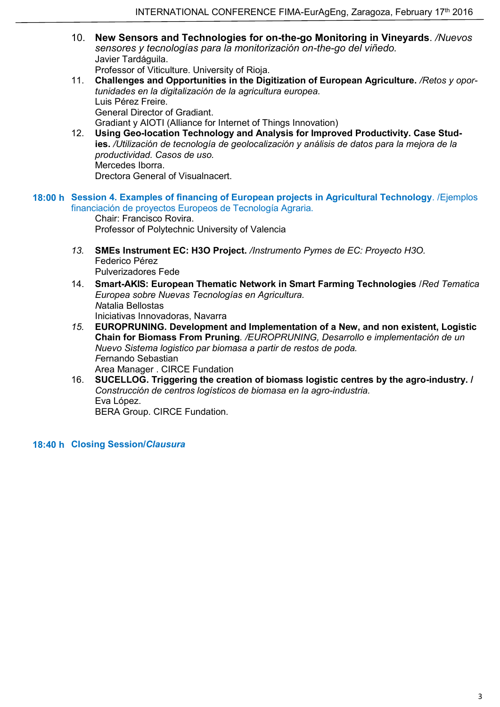10. **New Sensors and Technologies for on-the-go Monitoring in Vineyards**. */Nuevos sensores y tecnologías para la monitorización on-the-go del viñedo.* Javier Tardáguila.

Professor of Viticulture. University of Rioja.

- 11. **Challenges and Opportunities in the Digitization of European Agriculture.** */Retos y oportunidades en la digitalización de la agricultura europea.* Luis Pérez Freire. General Director of Gradiant. Gradiant y AIOTI (Alliance for Internet of Things Innovation)
- 12. **Using Geo-location Technology and Analysis for Improved Productivity. Case Studies.** */Utilización de tecnología de geolocalización y análisis de datos para la mejora de la productividad. Casos de uso.* Mercedes Iborra. Drectora General of Visualnacert.
- **Session 4. Examples of financing of European projects in Agricultural Technology**. /Ejemplos **18:00 h** financiación de proyectos Europeos de Tecnología Agraria.

Chair: Francisco Rovira. Professor of Polytechnic University of Valencia

- *13.* **SMEs Instrument EC: H3O Project.** */Instrumento Pymes de EC: Proyecto H3O.* Federico Pérez Pulverizadores Fede
- 14. **Smart-AKIS: European Thematic Network in Smart Farming Technologies** /*Red Tematica Europea sobre Nuevas Tecnologías en Agricultura. N*atalia Bellostas Iniciativas Innovadoras, Navarra
- *15.* **EUROPRUNING. Development and Implementation of a New, and non existent, Logistic Chain for Biomass From Pruning***. /EUROPRUNING, Desarrollo e implementación de un Nuevo Sistema logistico par biomasa a partir de restos de poda. F*ernando Sebastian Area Manager . CIRCE Fundation
- 16. **SUCELLOG. Triggering the creation of biomass logistic centres by the agro-industry. /** *Construcción de centros logísticos de biomasa en la agro-industria.* Eva López. BERA Group. CIRCE Fundation.

**Closing Session/***Clausura* **18:40 h**